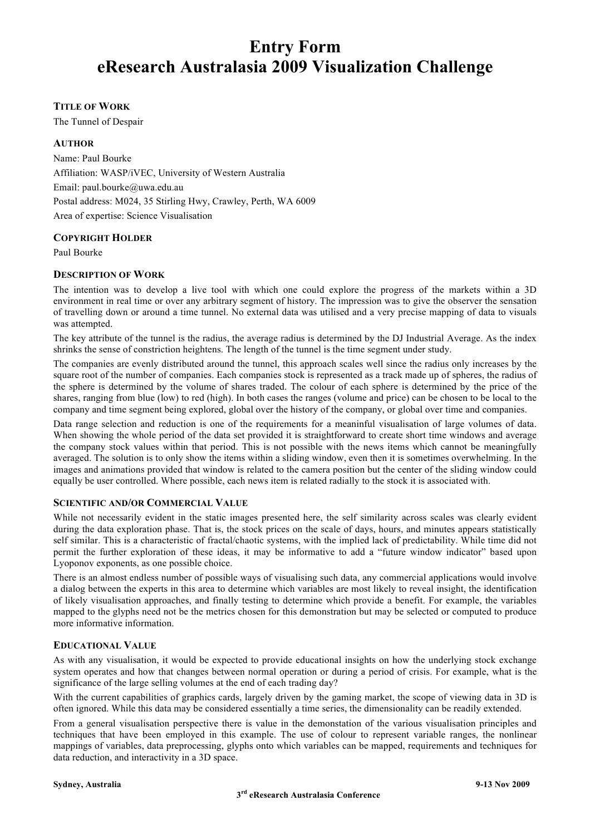# **Entry Form eResearch Australasia 2009 Visualization Challenge**

## **TITLE OF WORK**

The Tunnel of Despair

## **AUTHOR**

Name: Paul Bourke Affiliation: WASP/iVEC, University of Western Australia Email: paul.bourke@uwa.edu.au Postal address: M024, 35 Stirling Hwy, Crawley, Perth, WA 6009 Area of expertise: Science Visualisation

# **COPYRIGHT HOLDER**

Paul Bourke

## **DESCRIPTION OF WORK**

The intention was to develop a live tool with which one could explore the progress of the markets within a 3D environment in real time or over any arbitrary segment of history. The impression was to give the observer the sensation of travelling down or around a time tunnel. No external data was utilised and a very precise mapping of data to visuals was attempted.

The key attribute of the tunnel is the radius, the average radius is determined by the DJ Industrial Average. As the index shrinks the sense of constriction heightens. The length of the tunnel is the time segment under study.

The companies are evenly distributed around the tunnel, this approach scales well since the radius only increases by the square root of the number of companies. Each companies stock is represented as a track made up of spheres, the radius of the sphere is determined by the volume of shares traded. The colour of each sphere is determined by the price of the shares, ranging from blue (low) to red (high). In both cases the ranges (volume and price) can be chosen to be local to the company and time segment being explored, global over the history of the company, or global over time and companies.

Data range selection and reduction is one of the requirements for a meaninful visualisation of large volumes of data. When showing the whole period of the data set provided it is straightforward to create short time windows and average the company stock values within that period. This is not possible with the news items which cannot be meaningfully averaged. The solution is to only show the items within a sliding window, even then it is sometimes overwhelming. In the images and animations provided that window is related to the camera position but the center of the sliding window could equally be user controlled. Where possible, each news item is related radially to the stock it is associated with.

## **SCIENTIFIC AND/OR COMMERCIAL VALUE**

While not necessarily evident in the static images presented here, the self similarity across scales was clearly evident during the data exploration phase. That is, the stock prices on the scale of days, hours, and minutes appears statistically self similar. This is a characteristic of fractal/chaotic systems, with the implied lack of predictability. While time did not permit the further exploration of these ideas, it may be informative to add a "future window indicator" based upon Lyoponov exponents, as one possible choice.

There is an almost endless number of possible ways of visualising such data, any commercial applications would involve a dialog between the experts in this area to determine which variables are most likely to reveal insight, the identification of likely visualisation approaches, and finally testing to determine which provide a benefit. For example, the variables mapped to the glyphs need not be the metrics chosen for this demonstration but may be selected or computed to produce more informative information.

#### **EDUCATIONAL VALUE**

As with any visualisation, it would be expected to provide educational insights on how the underlying stock exchange system operates and how that changes between normal operation or during a period of crisis. For example, what is the significance of the large selling volumes at the end of each trading day?

With the current capabilities of graphics cards, largely driven by the gaming market, the scope of viewing data in 3D is often ignored. While this data may be considered essentially a time series, the dimensionality can be readily extended.

From a general visualisation perspective there is value in the demonstation of the various visualisation principles and techniques that have been employed in this example. The use of colour to represent variable ranges, the nonlinear mappings of variables, data preprocessing, glyphs onto which variables can be mapped, requirements and techniques for data reduction, and interactivity in a 3D space.